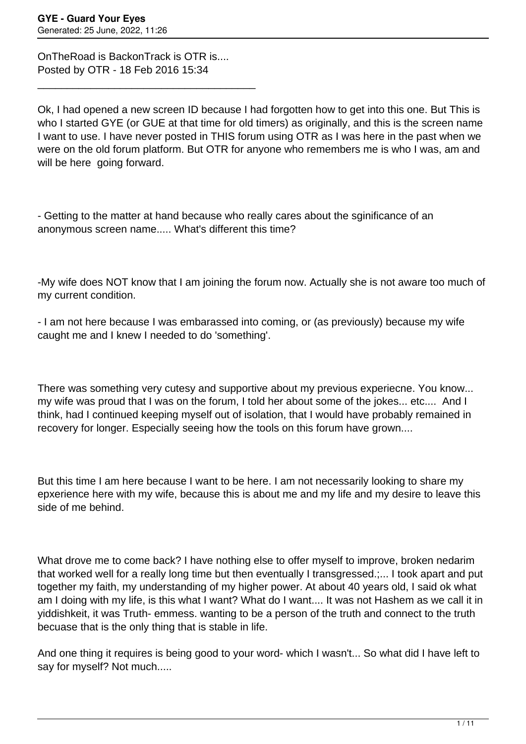OnTheRoad is BackonTrack is OTR is.... Posted by OTR - 18 Feb 2016 15:34

\_\_\_\_\_\_\_\_\_\_\_\_\_\_\_\_\_\_\_\_\_\_\_\_\_\_\_\_\_\_\_\_\_\_\_\_\_

Ok, I had opened a new screen ID because I had forgotten how to get into this one. But This is who I started GYE (or GUE at that time for old timers) as originally, and this is the screen name I want to use. I have never posted in THIS forum using OTR as I was here in the past when we were on the old forum platform. But OTR for anyone who remembers me is who I was, am and will be here going forward.

- Getting to the matter at hand because who really cares about the sginificance of an anonymous screen name..... What's different this time?

-My wife does NOT know that I am joining the forum now. Actually she is not aware too much of my current condition.

- I am not here because I was embarassed into coming, or (as previously) because my wife caught me and I knew I needed to do 'something'.

There was something very cutesy and supportive about my previous experiecne. You know... my wife was proud that I was on the forum, I told her about some of the jokes... etc.... And I think, had I continued keeping myself out of isolation, that I would have probably remained in recovery for longer. Especially seeing how the tools on this forum have grown....

But this time I am here because I want to be here. I am not necessarily looking to share my epxerience here with my wife, because this is about me and my life and my desire to leave this side of me behind.

What drove me to come back? I have nothing else to offer myself to improve, broken nedarim that worked well for a really long time but then eventually I transgressed.;... I took apart and put together my faith, my understanding of my higher power. At about 40 years old, I said ok what am I doing with my life, is this what I want? What do I want.... It was not Hashem as we call it in yiddishkeit, it was Truth- emmess. wanting to be a person of the truth and connect to the truth becuase that is the only thing that is stable in life.

And one thing it requires is being good to your word- which I wasn't... So what did I have left to say for myself? Not much.....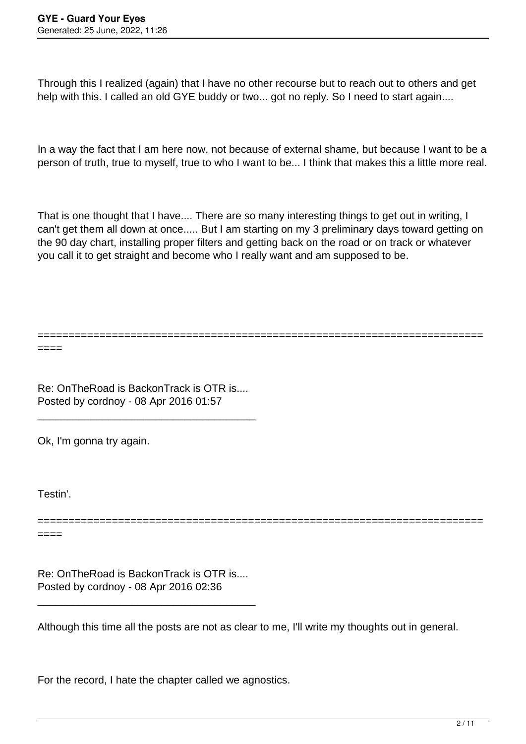Through this I realized (again) that I have no other recourse but to reach out to others and get help with this. I called an old GYE buddy or two... got no reply. So I need to start again....

In a way the fact that I am here now, not because of external shame, but because I want to be a person of truth, true to myself, true to who I want to be... I think that makes this a little more real.

That is one thought that I have.... There are so many interesting things to get out in writing, I can't get them all down at once..... But I am starting on my 3 preliminary days toward getting on the 90 day chart, installing proper filters and getting back on the road or on track or whatever you call it to get straight and become who I really want and am supposed to be.

========================================================================

Re: OnTheRoad is BackonTrack is OTR is.... Posted by cordnoy - 08 Apr 2016 01:57

\_\_\_\_\_\_\_\_\_\_\_\_\_\_\_\_\_\_\_\_\_\_\_\_\_\_\_\_\_\_\_\_\_\_\_\_\_

Ok, I'm gonna try again.

Testin'.

====

======================================================================== ====

Re: OnTheRoad is BackonTrack is OTR is.... Posted by cordnoy - 08 Apr 2016 02:36

\_\_\_\_\_\_\_\_\_\_\_\_\_\_\_\_\_\_\_\_\_\_\_\_\_\_\_\_\_\_\_\_\_\_\_\_\_

Although this time all the posts are not as clear to me, I'll write my thoughts out in general.

For the record, I hate the chapter called we agnostics.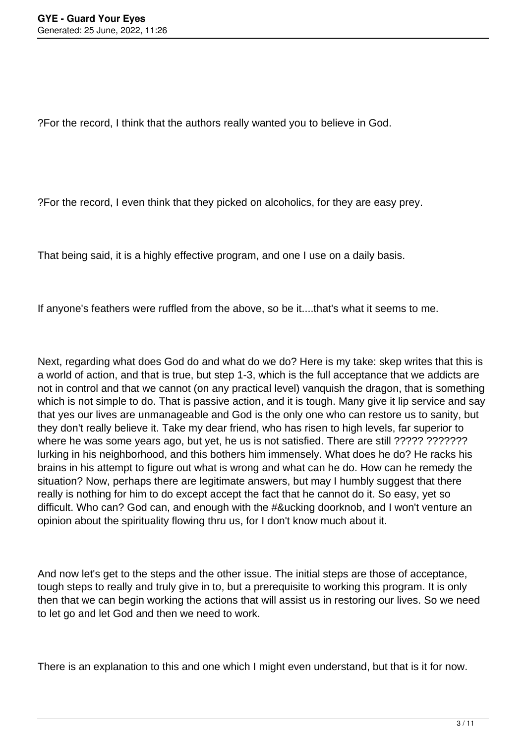?For the record, I think that the authors really wanted you to believe in God.

?For the record, I even think that they picked on alcoholics, for they are easy prey.

That being said, it is a highly effective program, and one I use on a daily basis.

If anyone's feathers were ruffled from the above, so be it....that's what it seems to me.

Next, regarding what does God do and what do we do? Here is my take: skep writes that this is a world of action, and that is true, but step 1-3, which is the full acceptance that we addicts are not in control and that we cannot (on any practical level) vanquish the dragon, that is something which is not simple to do. That is passive action, and it is tough. Many give it lip service and say that yes our lives are unmanageable and God is the only one who can restore us to sanity, but they don't really believe it. Take my dear friend, who has risen to high levels, far superior to where he was some years ago, but yet, he us is not satisfied. There are still ????? ???????? lurking in his neighborhood, and this bothers him immensely. What does he do? He racks his brains in his attempt to figure out what is wrong and what can he do. How can he remedy the situation? Now, perhaps there are legitimate answers, but may I humbly suggest that there really is nothing for him to do except accept the fact that he cannot do it. So easy, yet so difficult. Who can? God can, and enough with the #&ucking doorknob, and I won't venture an opinion about the spirituality flowing thru us, for I don't know much about it.

And now let's get to the steps and the other issue. The initial steps are those of acceptance, tough steps to really and truly give in to, but a prerequisite to working this program. It is only then that we can begin working the actions that will assist us in restoring our lives. So we need to let go and let God and then we need to work.

There is an explanation to this and one which I might even understand, but that is it for now.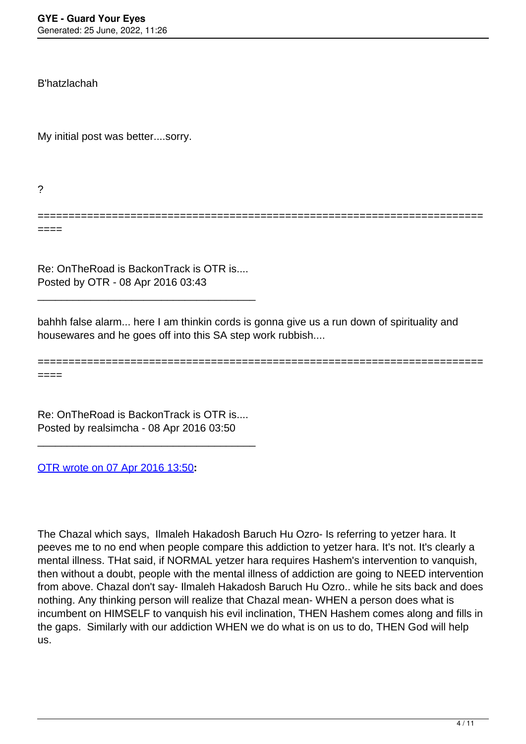B'hatzlachah

My initial post was better....sorry.

?

====

Re: OnTheRoad is BackonTrack is OTR is.... Posted by OTR - 08 Apr 2016 03:43

\_\_\_\_\_\_\_\_\_\_\_\_\_\_\_\_\_\_\_\_\_\_\_\_\_\_\_\_\_\_\_\_\_\_\_\_\_

bahhh false alarm... here I am thinkin cords is gonna give us a run down of spirituality and housewares and he goes off into this SA step work rubbish....

======================================================================== ====

========================================================================

Re: OnTheRoad is BackonTrack is OTR is.... Posted by realsimcha - 08 Apr 2016 03:50

\_\_\_\_\_\_\_\_\_\_\_\_\_\_\_\_\_\_\_\_\_\_\_\_\_\_\_\_\_\_\_\_\_\_\_\_\_

[OTR wrote on 07 Apr 2016 13:50](/forum/id-283891)**:**

The Chazal which says, Ilmaleh Hakadosh Baruch Hu Ozro- Is referring to yetzer hara. It peeves me to no end when people compare this addiction to yetzer hara. It's not. It's clearly a mental illness. THat said, if NORMAL yetzer hara requires Hashem's intervention to vanquish, then without a doubt, people with the mental illness of addiction are going to NEED intervention from above. Chazal don't say- Ilmaleh Hakadosh Baruch Hu Ozro.. while he sits back and does nothing. Any thinking person will realize that Chazal mean- WHEN a person does what is incumbent on HIMSELF to vanquish his evil inclination, THEN Hashem comes along and fills in the gaps. Similarly with our addiction WHEN we do what is on us to do, THEN God will help us.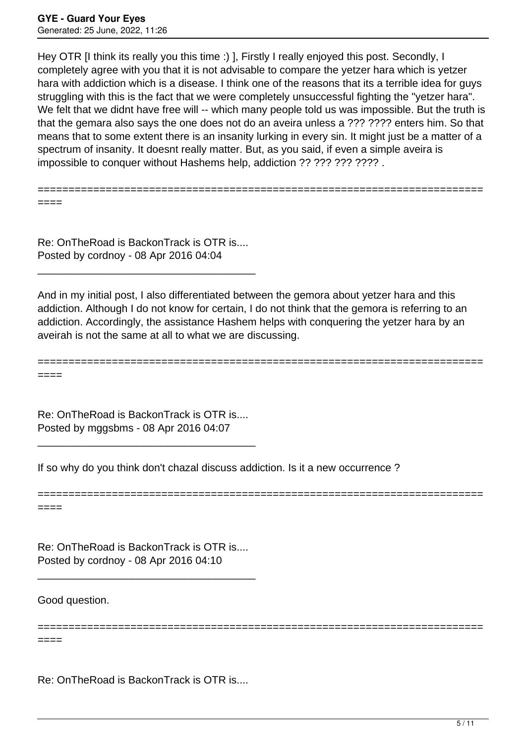Hey OTR II think its really you this time :) I. Firstly I really enjoyed this post. Secondly, I completely agree with you that it is not advisable to compare the yetzer hara which is yetzer hara with addiction which is a disease. I think one of the reasons that its a terrible idea for guys struggling with this is the fact that we were completely unsuccessful fighting the "yetzer hara". We felt that we didnt have free will -- which many people told us was impossible. But the truth is that the gemara also says the one does not do an aveira unless a ??? ???? enters him. So that means that to some extent there is an insanity lurking in every sin. It might just be a matter of a spectrum of insanity. It doesnt really matter. But, as you said, if even a simple aveira is impossible to conquer without Hashems help, addiction ?? ??? ???? ???? .

======================================================================== ====

Re: OnTheRoad is BackonTrack is OTR is.... Posted by cordnoy - 08 Apr 2016 04:04

\_\_\_\_\_\_\_\_\_\_\_\_\_\_\_\_\_\_\_\_\_\_\_\_\_\_\_\_\_\_\_\_\_\_\_\_\_

And in my initial post, I also differentiated between the gemora about yetzer hara and this addiction. Although I do not know for certain, I do not think that the gemora is referring to an addiction. Accordingly, the assistance Hashem helps with conquering the yetzer hara by an aveirah is not the same at all to what we are discussing.

======================================================================== ====

========================================================================

========================================================================

Re: OnTheRoad is BackonTrack is OTR is.... Posted by mggsbms - 08 Apr 2016 04:07

\_\_\_\_\_\_\_\_\_\_\_\_\_\_\_\_\_\_\_\_\_\_\_\_\_\_\_\_\_\_\_\_\_\_\_\_\_

If so why do you think don't chazal discuss addiction. Is it a new occurrence ?

====

Re: OnTheRoad is BackonTrack is OTR is.... Posted by cordnoy - 08 Apr 2016 04:10

\_\_\_\_\_\_\_\_\_\_\_\_\_\_\_\_\_\_\_\_\_\_\_\_\_\_\_\_\_\_\_\_\_\_\_\_\_

Good question.

====

Re: OnTheRoad is BackonTrack is OTR is....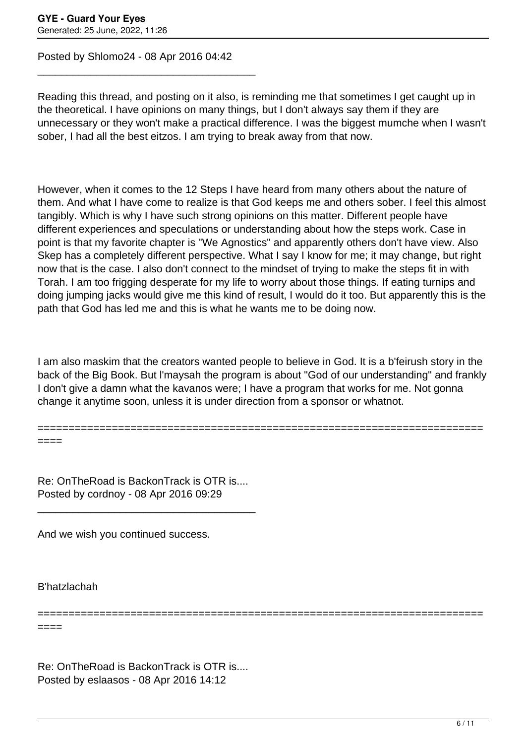Posted by Shlomo24 - 08 Apr 2016 04:42

\_\_\_\_\_\_\_\_\_\_\_\_\_\_\_\_\_\_\_\_\_\_\_\_\_\_\_\_\_\_\_\_\_\_\_\_\_

Reading this thread, and posting on it also, is reminding me that sometimes I get caught up in the theoretical. I have opinions on many things, but I don't always say them if they are unnecessary or they won't make a practical difference. I was the biggest mumche when I wasn't sober, I had all the best eitzos. I am trying to break away from that now.

However, when it comes to the 12 Steps I have heard from many others about the nature of them. And what I have come to realize is that God keeps me and others sober. I feel this almost tangibly. Which is why I have such strong opinions on this matter. Different people have different experiences and speculations or understanding about how the steps work. Case in point is that my favorite chapter is "We Agnostics" and apparently others don't have view. Also Skep has a completely different perspective. What I say I know for me; it may change, but right now that is the case. I also don't connect to the mindset of trying to make the steps fit in with Torah. I am too frigging desperate for my life to worry about those things. If eating turnips and doing jumping jacks would give me this kind of result, I would do it too. But apparently this is the path that God has led me and this is what he wants me to be doing now.

I am also maskim that the creators wanted people to believe in God. It is a b'feirush story in the back of the Big Book. But l'maysah the program is about "God of our understanding" and frankly I don't give a damn what the kavanos were; I have a program that works for me. Not gonna change it anytime soon, unless it is under direction from a sponsor or whatnot.

========================================================================

========================================================================

Re: OnTheRoad is BackonTrack is OTR is.... Posted by cordnoy - 08 Apr 2016 09:29

\_\_\_\_\_\_\_\_\_\_\_\_\_\_\_\_\_\_\_\_\_\_\_\_\_\_\_\_\_\_\_\_\_\_\_\_\_

And we wish you continued success.

B'hatzlachah

====

====

Re: OnTheRoad is BackonTrack is OTR is.... Posted by eslaasos - 08 Apr 2016 14:12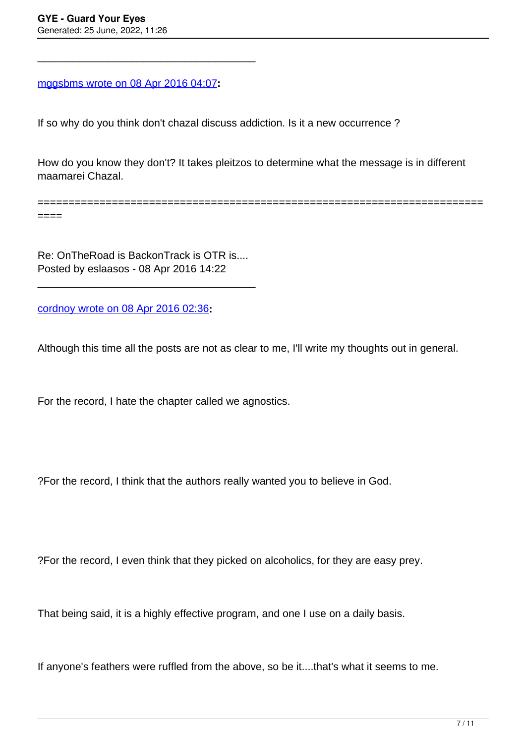====

[mggsbms wrote on 08 Apr 2016 04:07](/forum/id-283979)**:**

\_\_\_\_\_\_\_\_\_\_\_\_\_\_\_\_\_\_\_\_\_\_\_\_\_\_\_\_\_\_\_\_\_\_\_\_\_

If so why do you think don't chazal discuss addiction. Is it a new occurrence ?

How do you know they don't? It takes pleitzos to determine what the message is in different maamarei Chazal.

========================================================================

Re: OnTheRoad is BackonTrack is OTR is.... Posted by eslaasos - 08 Apr 2016 14:22

\_\_\_\_\_\_\_\_\_\_\_\_\_\_\_\_\_\_\_\_\_\_\_\_\_\_\_\_\_\_\_\_\_\_\_\_\_

[cordnoy wrote on 08 Apr 2016 02:36](/forum/id-283951)**:**

Although this time all the posts are not as clear to me, I'll write my thoughts out in general.

For the record, I hate the chapter called we agnostics.

?For the record, I think that the authors really wanted you to believe in God.

?For the record, I even think that they picked on alcoholics, for they are easy prey.

That being said, it is a highly effective program, and one I use on a daily basis.

If anyone's feathers were ruffled from the above, so be it....that's what it seems to me.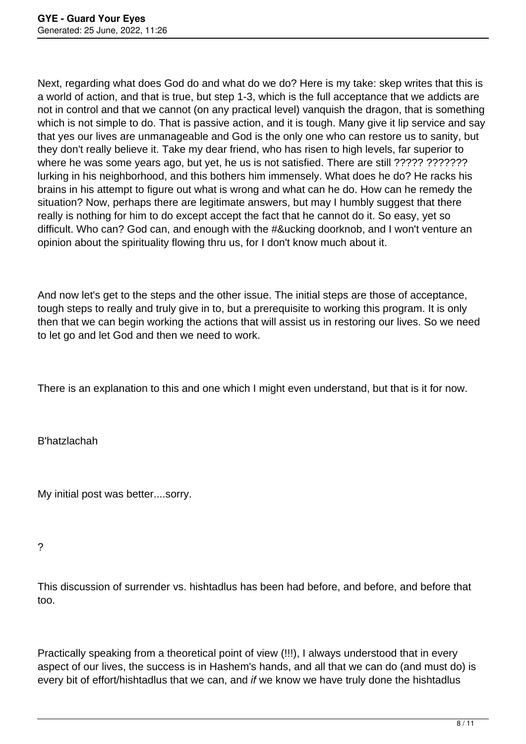Next, regarding what does God do and what do we do? Here is my take: skep writes that this is a world of action, and that is true, but step 1-3, which is the full acceptance that we addicts are not in control and that we cannot (on any practical level) vanquish the dragon, that is something which is not simple to do. That is passive action, and it is tough. Many give it lip service and say that yes our lives are unmanageable and God is the only one who can restore us to sanity, but they don't really believe it. Take my dear friend, who has risen to high levels, far superior to where he was some years ago, but yet, he us is not satisfied. There are still ????? ?????????????????????????? lurking in his neighborhood, and this bothers him immensely. What does he do? He racks his brains in his attempt to figure out what is wrong and what can he do. How can he remedy the situation? Now, perhaps there are legitimate answers, but may I humbly suggest that there really is nothing for him to do except accept the fact that he cannot do it. So easy, yet so difficult. Who can? God can, and enough with the #&ucking doorknob, and I won't venture an opinion about the spirituality flowing thru us, for I don't know much about it.

And now let's get to the steps and the other issue. The initial steps are those of acceptance, tough steps to really and truly give in to, but a prerequisite to working this program. It is only then that we can begin working the actions that will assist us in restoring our lives. So we need to let go and let God and then we need to work.

There is an explanation to this and one which I might even understand, but that is it for now.

B'hatzlachah

My initial post was better....sorry.

?

This discussion of surrender vs. hishtadlus has been had before, and before, and before that too.

Practically speaking from a theoretical point of view (!!!), I always understood that in every aspect of our lives, the success is in Hashem's hands, and all that we can do (and must do) is every bit of effort/hishtadlus that we can, and if we know we have truly done the hishtadlus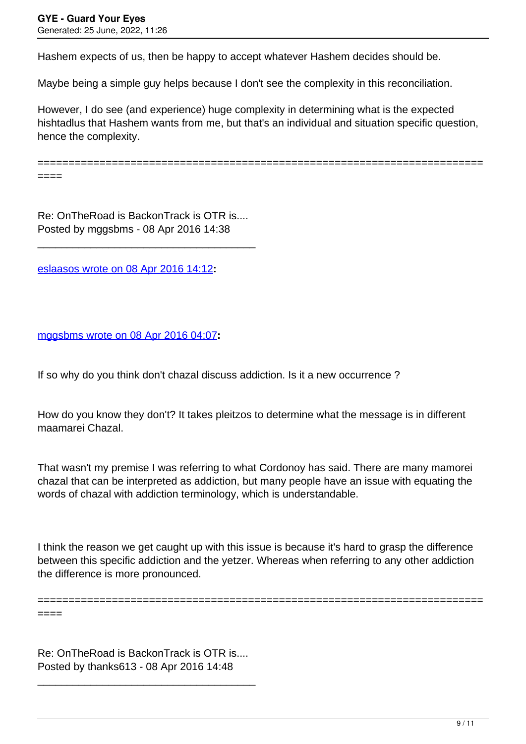Hashem expects of us, then be happy to accept whatever Hashem decides should be.

Maybe being a simple guy helps because I don't see the complexity in this reconciliation.

However, I do see (and experience) huge complexity in determining what is the expected hishtadlus that Hashem wants from me, but that's an individual and situation specific question, hence the complexity.

======================================================================== ====

Re: OnTheRoad is BackonTrack is OTR is.... Posted by mggsbms - 08 Apr 2016 14:38

\_\_\_\_\_\_\_\_\_\_\_\_\_\_\_\_\_\_\_\_\_\_\_\_\_\_\_\_\_\_\_\_\_\_\_\_\_

[eslaasos wrote on 08 Apr 2016 14:12](/forum/id-284017)**:**

[mggsbms wrote on 08 Apr 2016 04:07](/forum/id-283979)**:**

If so why do you think don't chazal discuss addiction. Is it a new occurrence ?

How do you know they don't? It takes pleitzos to determine what the message is in different maamarei Chazal.

That wasn't my premise I was referring to what Cordonoy has said. There are many mamorei chazal that can be interpreted as addiction, but many people have an issue with equating the words of chazal with addiction terminology, which is understandable.

I think the reason we get caught up with this issue is because it's hard to grasp the difference between this specific addiction and the yetzer. Whereas when referring to any other addiction the difference is more pronounced.

========================================================================

Re: OnTheRoad is BackonTrack is OTR is.... Posted by thanks613 - 08 Apr 2016 14:48

\_\_\_\_\_\_\_\_\_\_\_\_\_\_\_\_\_\_\_\_\_\_\_\_\_\_\_\_\_\_\_\_\_\_\_\_\_

====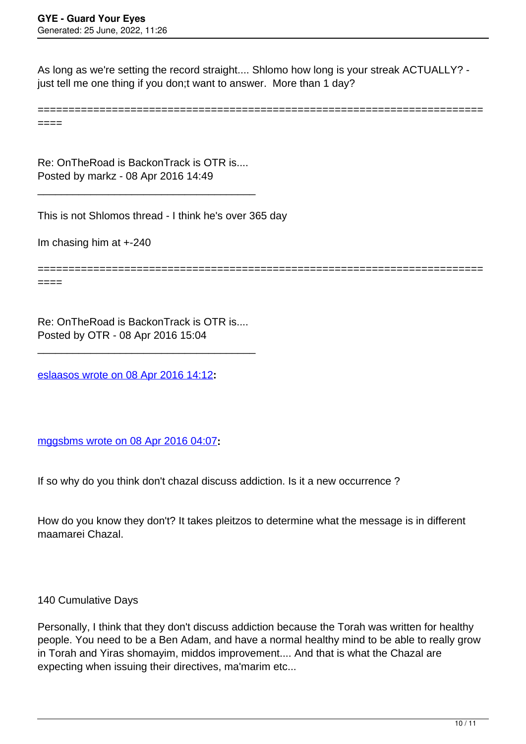As long as we're setting the record straight.... Shlomo how long is your streak ACTUALLY? just tell me one thing if you don;t want to answer. More than 1 day?

========================================================================

====

Re: OnTheRoad is BackonTrack is OTR is.... Posted by markz - 08 Apr 2016 14:49

\_\_\_\_\_\_\_\_\_\_\_\_\_\_\_\_\_\_\_\_\_\_\_\_\_\_\_\_\_\_\_\_\_\_\_\_\_

This is not Shlomos thread - I think he's over 365 day

Im chasing him at +-240

========================================================================

====

Re: OnTheRoad is BackonTrack is OTR is.... Posted by OTR - 08 Apr 2016 15:04

\_\_\_\_\_\_\_\_\_\_\_\_\_\_\_\_\_\_\_\_\_\_\_\_\_\_\_\_\_\_\_\_\_\_\_\_\_

[eslaasos wrote on 08 Apr 2016 14:12](/forum/id-284017)**:**

[mggsbms wrote on 08 Apr 2016 04:07](/forum/id-283979)**:**

If so why do you think don't chazal discuss addiction. Is it a new occurrence ?

How do you know they don't? It takes pleitzos to determine what the message is in different maamarei Chazal.

140 Cumulative Days

Personally, I think that they don't discuss addiction because the Torah was written for healthy people. You need to be a Ben Adam, and have a normal healthy mind to be able to really grow in Torah and Yiras shomayim, middos improvement.... And that is what the Chazal are expecting when issuing their directives, ma'marim etc...